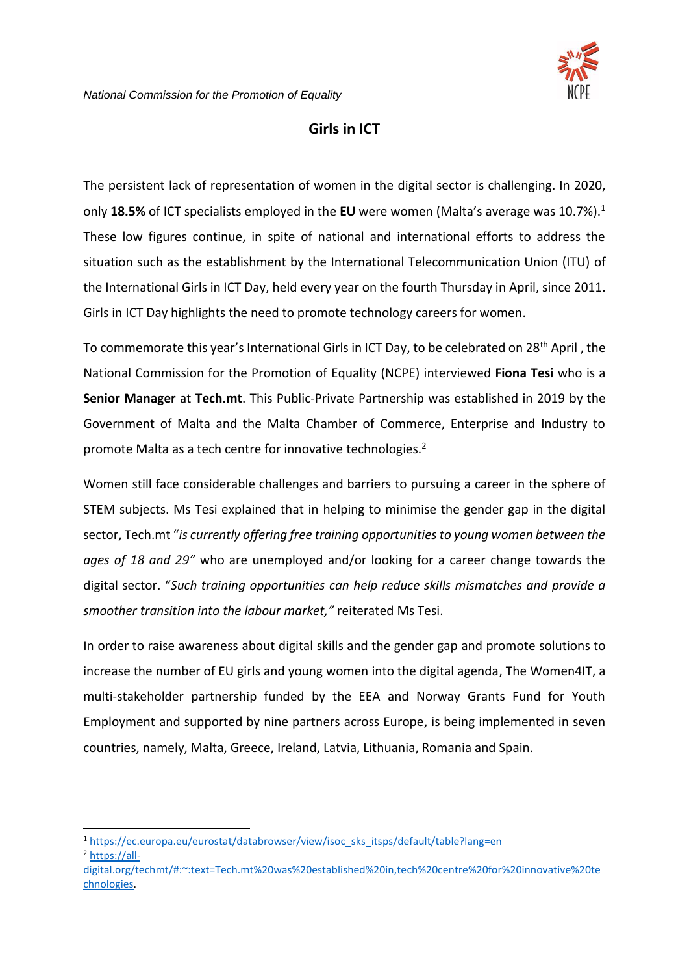## **Girls in ICT**

The persistent lack of representation of women in the digital sector is challenging. In 2020, only **18.5%** of ICT specialists employed in the **EU** were women (Malta's average was 10.7%).<sup>1</sup> These low figures continue, in spite of national and international efforts to address the situation such as the establishment by the International Telecommunication Union (ITU) of the International Girls in ICT Day, held every year on the fourth Thursday in April, since 2011. Girls in ICT Day highlights the need to promote technology careers for women.

To commemorate this year's International Girls in ICT Day, to be celebrated on 28<sup>th</sup> April, the National Commission for the Promotion of Equality (NCPE) interviewed **Fiona Tesi** who is a **Senior Manager** at **Tech.mt**. This Public-Private Partnership was established in 2019 by the Government of Malta and the Malta Chamber of Commerce, Enterprise and Industry to promote Malta as a tech centre for innovative technologies.<sup>2</sup>

Women still face considerable challenges and barriers to pursuing a career in the sphere of STEM subjects. Ms Tesi explained that in helping to minimise the gender gap in the digital sector, Tech.mt "*is currently offering free training opportunities to young women between the ages of 18 and 29"* who are unemployed and/or looking for a career change towards the digital sector. "*Such training opportunities can help reduce skills mismatches and provide a smoother transition into the labour market,"* reiterated Ms Tesi.

In order to raise awareness about digital skills and the gender gap and promote solutions to increase the number of EU girls and young women into the digital agenda, The Women4IT, a multi-stakeholder partnership funded by the EEA and Norway Grants Fund for Youth Employment and supported by nine partners across Europe, is being implemented in seven countries, namely, Malta, Greece, Ireland, Latvia, Lithuania, Romania and Spain.

<sup>&</sup>lt;sup>1</sup> [https://ec.europa.eu/eurostat/databrowser/view/isoc\\_sks\\_itsps/default/table?lang=en](https://ec.europa.eu/eurostat/databrowser/view/isoc_sks_itsps/default/table?lang=en) <sup>2</sup> [https://all-](https://all-digital.org/techmt/#:~:text=Tech.mt%20was%20established%20in,tech%20centre%20for%20innovative%20technologies)

[digital.org/techmt/#:~:text=Tech.mt%20was%20established%20in,tech%20centre%20for%20innovative%20te](https://all-digital.org/techmt/#:~:text=Tech.mt%20was%20established%20in,tech%20centre%20for%20innovative%20technologies) [chnologies.](https://all-digital.org/techmt/#:~:text=Tech.mt%20was%20established%20in,tech%20centre%20for%20innovative%20technologies)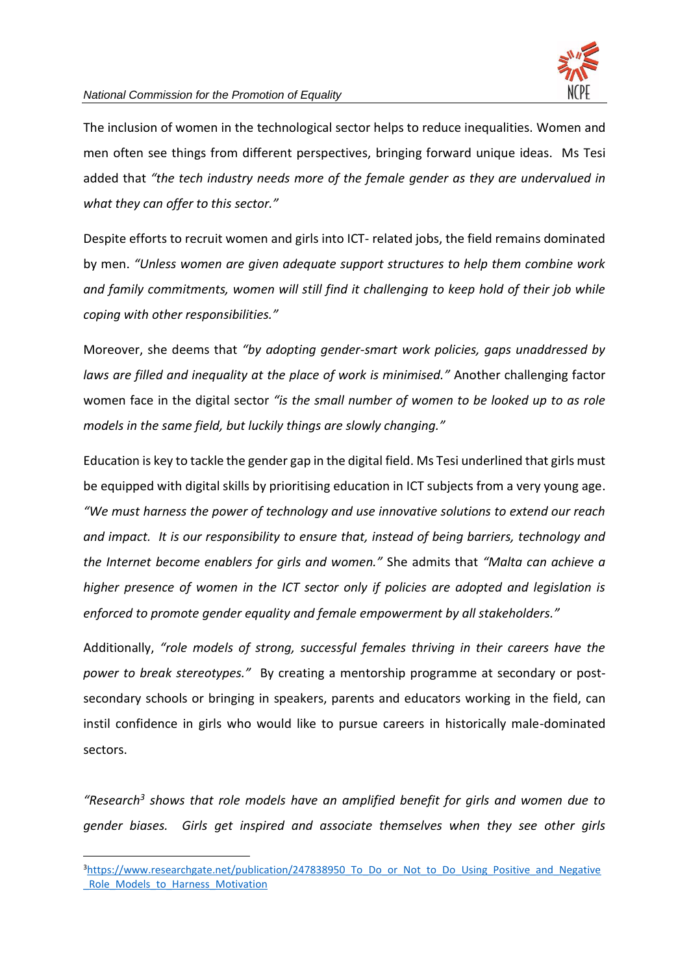

The inclusion of women in the technological sector helps to reduce inequalities. Women and men often see things from different perspectives, bringing forward unique ideas. Ms Tesi added that *"the tech industry needs more of the female gender as they are undervalued in what they can offer to this sector."*

Despite efforts to recruit women and girls into ICT- related jobs, the field remains dominated by men. *"Unless women are given adequate support structures to help them combine work and family commitments, women will still find it challenging to keep hold of their job while coping with other responsibilities."*

Moreover, she deems that *"by adopting gender-smart work policies, gaps unaddressed by laws are filled and inequality at the place of work is minimised."* Another challenging factor women face in the digital sector *"is the small number of women to be looked up to as role models in the same field, but luckily things are slowly changing."*

Education is key to tackle the gender gap in the digital field. Ms Tesi underlined that girls must be equipped with digital skills by prioritising education in ICT subjects from a very young age. *"We must harness the power of technology and use innovative solutions to extend our reach and impact. It is our responsibility to ensure that, instead of being barriers, technology and the Internet become enablers for girls and women."* She admits that *"Malta can achieve a higher presence of women in the ICT sector only if policies are adopted and legislation is enforced to promote gender equality and female empowerment by all stakeholders."*

Additionally, *"role models of strong, successful females thriving in their careers have the power to break stereotypes."* By creating a mentorship programme at secondary or postsecondary schools or bringing in speakers, parents and educators working in the field, can instil confidence in girls who would like to pursue careers in historically male-dominated sectors.

*"Research<sup>3</sup> shows that role models have an amplified benefit for girls and women due to gender biases. Girls get inspired and associate themselves when they see other girls* 

<sup>&</sup>lt;sup>3</sup>https://www.researchgate.net/publication/247838950 To Do or Not to Do Using Positive and Negative [\\_Role\\_Models\\_to\\_Harness\\_Motivation](https://www.researchgate.net/publication/247838950_To_Do_or_Not_to_Do_Using_Positive_and_Negative_Role_Models_to_Harness_Motivation)